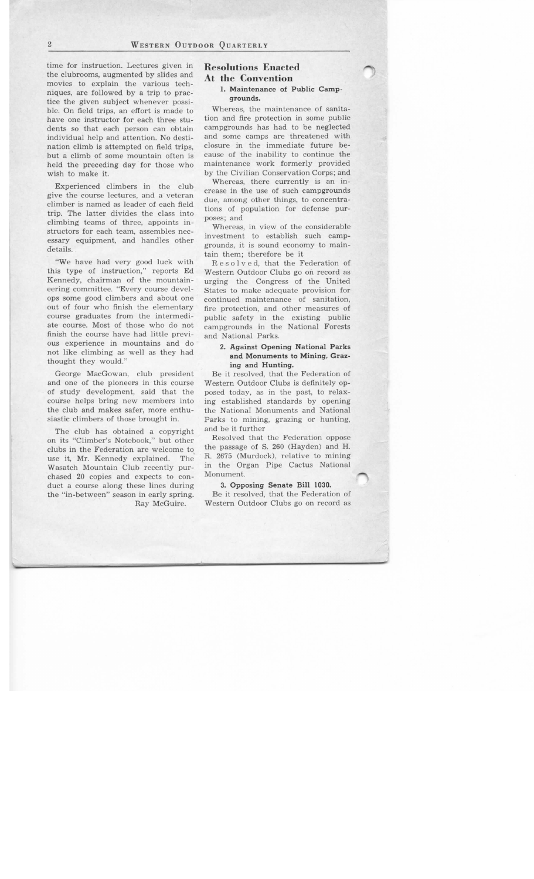time for instruction. Lectures given in the clubrooms, augmented by slides and movies to explain the various techniques, are followed by a trip to practice the given subject whenever possible. On field trips, an effort is made to have one instructor for each three students so that each person can obtain individual help and attention. No destination climb is attempted on field trips, but a climb of some mountain often is held the preceding day for those who wish to make it.

Experienced climbers in the club give the course lectures, and a veteran climber is named as leader of each field trip. The latter divides the class into climbing teams of three, appoints instructors for each team, assembles necessary equipment, and handles other details.

"We have had very good luck with this type of instruction," reports Ed Kennedy, chairman of the mountaineering committee. "Every course develops some good climbers and about one out of four who finish the elementary course graduates from the intermediate course. Most of those who do not finish the course have had little previous experience in mountains and do not like climbing as well as they had thought they would."

George MacGowan, club president and one of the pioneers in this course of study development, said that the course helps bring new members into the club and makes safer, more enthusiastic climbers of those brought in.

The club has obtained a copyright on its "Climber's Notebook," but other clubs in the Federation are welcome to use it, Mr. Kennedy explained. The Wasatch Mountain Club recently purchased 20 copies and expects to conduct a course along these lines during the "in-between" season in early spring. Ray McGuire.

# **Resolutions Enacted At the Convention**

### **1. Maintenance of Public Campgrounds.**

Whereas, the maintenance of sanitation and fire protection in some public campgrounds has had to be neglected and some camps are threatened with closure in the immediate future because of the inability to continue the maintenance work formerly provided by the Civilian Conservation Corps; and

Whereas, there currently is an increase in the use of such campgrounds due, among other things, to concentrations of population for defense purposes; and

Whereas, in view of the considerable investment to establish such campgrounds, it is sound economy to maintain them; therefore be it

Resolved, that the Federation of Western Outdoor Clubs go on record as urging the Congress of the United States to make adequate provision for continued maintenance of sanitation, fire protection, and other measures of public safety in the existing public campgrounds in the National Forests and National Parks.

## 2. **Against Opening National Parks and Monuments to Mining, Grazing and Hunting.**

Be it resolved, that the Federation of Western Outdoor Clubs is definitely opposed today, as in the past, to relaxing established standards by opening the National Monuments and National Parks to mining, grazing or hunting, and be it further

Resolved that the Federation oppose the passage of S. 260 (Hayden) and H. R. 2675 (Murdock), relative to mining in the Organ Pipe Cactus National Monument.

#### **3. Opposing Senate Bill 1030.**

Be it resolved, that the Federation of Western Outdoor Clubs go on record as